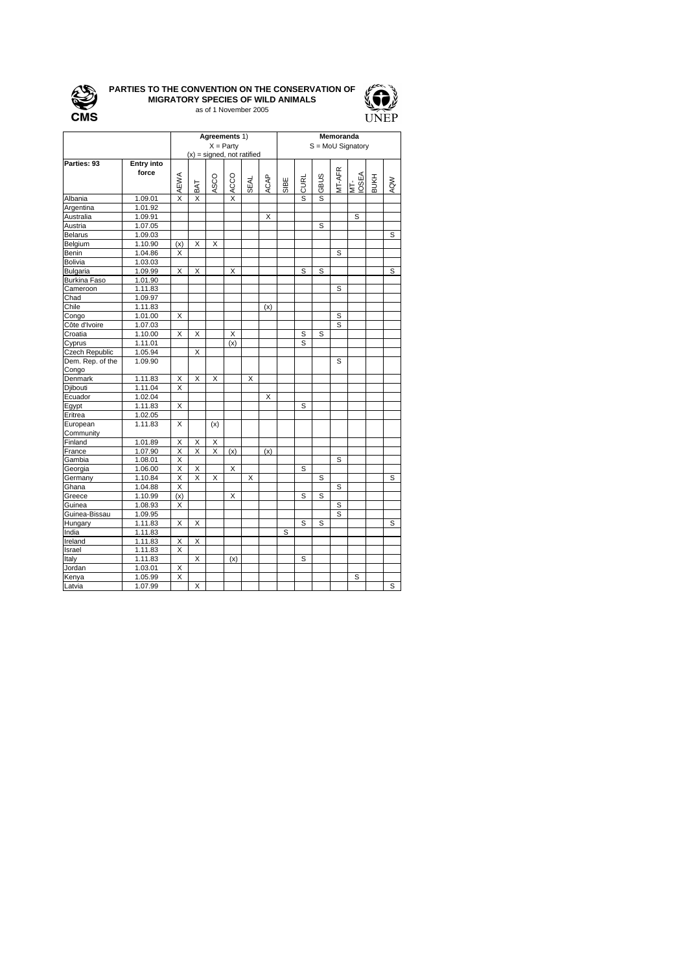

## **PARTIES TO THE CONVENTION ON THE CONSERVATION OF MIGRATORY SPECIES OF WILD ANIMALS** as of 1 November 2005



|                  |                   | Agreements 1)<br>$X =$ Party |     |      |      |             |             | Memoranda<br>$S = M oU$ Signatory |      |             |        |              |             |     |  |
|------------------|-------------------|------------------------------|-----|------|------|-------------|-------------|-----------------------------------|------|-------------|--------|--------------|-------------|-----|--|
|                  |                   | $(x)$ = signed, not ratified |     |      |      |             |             |                                   |      |             |        |              |             |     |  |
| Parties: 93      | <b>Entry into</b> |                              |     |      |      |             |             |                                   |      |             |        |              |             |     |  |
|                  | force             | <b>AEWA</b>                  | BAT | ASCO | ACCO | <b>SEAL</b> | <b>ACAP</b> | SIBE                              | CURL | <b>GBUS</b> | MT-AFR | MT-<br>IOSEA | <b>BUKH</b> | AQW |  |
| Albania          | 1.09.01           | X                            | X   |      | X    |             |             |                                   | S    | S           |        |              |             |     |  |
| Argentina        | 1.01.92           |                              |     |      |      |             |             |                                   |      |             |        |              |             |     |  |
| Australia        | 1.09.91           |                              |     |      |      |             | X           |                                   |      |             |        | S            |             |     |  |
| Austria          | 1.07.05           |                              |     |      |      |             |             |                                   |      | S           |        |              |             |     |  |
| <b>Belarus</b>   | 1.09.03           |                              |     |      |      |             |             |                                   |      |             |        |              |             | S   |  |
| Belgium          | 1.10.90           | (x)                          | X   | Х    |      |             |             |                                   |      |             |        |              |             |     |  |
| Benin            | 1.04.86           | X                            |     |      |      |             |             |                                   |      |             | S      |              |             |     |  |
| Bolivia          | 1.03.03           |                              |     |      |      |             |             |                                   |      |             |        |              |             |     |  |
| Bulgaria         | 1.09.99           | X                            | X   |      | X    |             |             |                                   | S    | S           |        |              |             | S   |  |
| Burkina Faso     | 1.01.90           |                              |     |      |      |             |             |                                   |      |             |        |              |             |     |  |
| Cameroon         | 1.11.83           |                              |     |      |      |             |             |                                   |      |             | S      |              |             |     |  |
| Chad             | 1.09.97           |                              |     |      |      |             |             |                                   |      |             |        |              |             |     |  |
| Chile            | 1.11.83           |                              |     |      |      |             | (x)         |                                   |      |             |        |              |             |     |  |
| Congo            | 1.01.00           | Χ                            |     |      |      |             |             |                                   |      |             | S      |              |             |     |  |
| Côte d'Ivoire    | 1.07.03           |                              |     |      |      |             |             |                                   |      |             | S      |              |             |     |  |
| Croatia          | 1.10.00           | Χ                            | X   |      | Χ    |             |             |                                   | S    | S           |        |              |             |     |  |
| Cyprus           | 1.11.01           |                              |     |      | (x)  |             |             |                                   | S    |             |        |              |             |     |  |
| Czech Republic   | 1.05.94           |                              | X   |      |      |             |             |                                   |      |             |        |              |             |     |  |
| Dem. Rep. of the | 1.09.90           |                              |     |      |      |             |             |                                   |      |             | S      |              |             |     |  |
| Congo<br>Denmark |                   |                              |     |      |      |             |             |                                   |      |             |        |              |             |     |  |
|                  | 1.11.83           | X                            | X   | X    |      | X           |             |                                   |      |             |        |              |             |     |  |
| Djibouti         | 1.11.04           | X                            |     |      |      |             |             |                                   |      |             |        |              |             |     |  |
| Ecuador          | 1.02.04           |                              |     |      |      |             | X           |                                   |      |             |        |              |             |     |  |
| Egypt            | 1.11.83           | Χ                            |     |      |      |             |             |                                   | S    |             |        |              |             |     |  |
| Eritrea          | 1.02.05           |                              |     |      |      |             |             |                                   |      |             |        |              |             |     |  |
| European         | 1.11.83           | X                            |     | (x)  |      |             |             |                                   |      |             |        |              |             |     |  |
| Community        |                   |                              |     |      |      |             |             |                                   |      |             |        |              |             |     |  |
| Finland          | 1.01.89           | Χ                            | Χ   | Χ    |      |             |             |                                   |      |             |        |              |             |     |  |
| France           | 1.07.90           | Χ                            | Χ   | Χ    | (x)  |             | (x)         |                                   |      |             |        |              |             |     |  |
| Gambia           | 1.08.01           | $\overline{\mathsf{x}}$      |     |      |      |             |             |                                   |      |             | S      |              |             |     |  |
| Georgia          | 1.06.00           | Χ                            | Χ   |      | Χ    |             |             |                                   | S    |             |        |              |             |     |  |
| Germany          | 1.10.84           | $\overline{\mathsf{x}}$      | X   | X    |      | X           |             |                                   |      | S           |        |              |             | S   |  |
| Ghana            | 1.04.88           | Χ                            |     |      |      |             |             |                                   |      |             | S      |              |             |     |  |
| Greece           | 1.10.99           | (x)                          |     |      | Х    |             |             |                                   | S    | S           |        |              |             |     |  |
| Guinea           | 1.08.93           | X                            |     |      |      |             |             |                                   |      |             | S      |              |             |     |  |
| Guinea-Bissau    | 1.09.95           |                              |     |      |      |             |             |                                   |      |             | S      |              |             |     |  |
| Hungary          | 1.11.83           | X                            | X   |      |      |             |             |                                   | S    | S           |        |              |             | S   |  |
| India            | 1.11.83           |                              |     |      |      |             |             | S                                 |      |             |        |              |             |     |  |
| Ireland          | 1.11.83           | Χ                            | Х   |      |      |             |             |                                   |      |             |        |              |             |     |  |
| Israel           | 1.11.83           | X                            |     |      |      |             |             |                                   |      |             |        |              |             |     |  |
| Italy            | 1.11.83           |                              | X   |      | (x)  |             |             |                                   | S    |             |        |              |             |     |  |
| Jordan           | 1.03.01           | Χ                            |     |      |      |             |             |                                   |      |             |        |              |             |     |  |
| Kenya            | 1.05.99           | X                            |     |      |      |             |             |                                   |      |             |        | S            |             |     |  |
| Latvia           | 1.07.99           |                              | X   |      |      |             |             |                                   |      |             |        |              |             | S   |  |